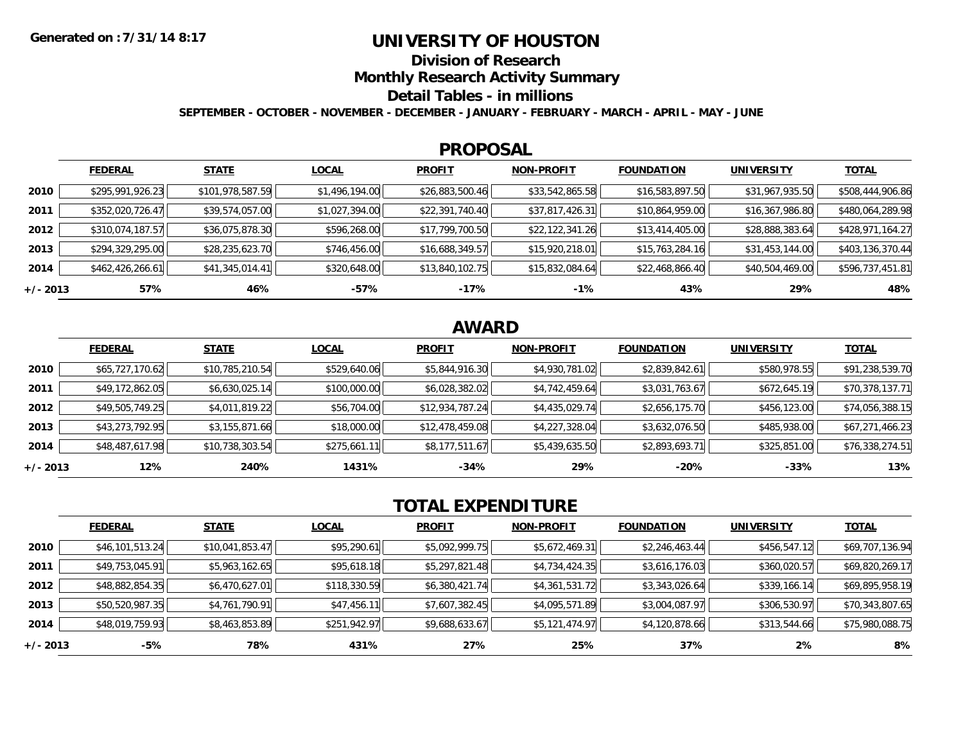### **UNIVERSITY OF HOUSTON**

**Division of Research**

**Monthly Research Activity Summary**

#### **Detail Tables - in millions**

**SEPTEMBER - OCTOBER - NOVEMBER - DECEMBER - JANUARY - FEBRUARY - MARCH - APRIL - MAY - JUNE**

#### **PROPOSAL**

|            | <b>FEDERAL</b>   | <b>STATE</b>     | <b>LOCAL</b>   | <b>PROFIT</b>   | <b>NON-PROFIT</b> | <b>FOUNDATION</b> | <b>UNIVERSITY</b> | <u>TOTAL</u>     |
|------------|------------------|------------------|----------------|-----------------|-------------------|-------------------|-------------------|------------------|
| 2010       | \$295,991,926.23 | \$101,978,587.59 | \$1,496,194.00 | \$26,883,500.46 | \$33,542,865.58   | \$16,583,897.50   | \$31,967,935.50   | \$508,444,906.86 |
| 2011       | \$352,020,726.47 | \$39,574,057.00  | \$1,027,394.00 | \$22,391,740.40 | \$37,817,426.31   | \$10,864,959.00   | \$16,367,986.80   | \$480,064,289.98 |
| 2012       | \$310,074,187.57 | \$36,075,878.30  | \$596,268.00   | \$17,799,700.50 | \$22,122,341.26   | \$13,414,405.00   | \$28,888,383.64   | \$428,971,164.27 |
| 2013       | \$294,329,295.00 | \$28,235,623.70  | \$746,456.00   | \$16,688,349.57 | \$15,920,218.01   | \$15,763,284.16   | \$31,453,144.00   | \$403,136,370.44 |
| 2014       | \$462,426,266.61 | \$41,345,014.41  | \$320,648.00   | \$13,840,102.75 | \$15,832,084.64   | \$22,468,866.40   | \$40,504,469.00   | \$596,737,451.81 |
| $+/- 2013$ | 57%              | 46%              | $-57%$         | -17%            | $-1%$             | 43%               | 29%               | 48%              |

# **AWARD**

|            | <b>FEDERAL</b>  | <b>STATE</b>    | <b>LOCAL</b> | <b>PROFIT</b>   | <b>NON-PROFIT</b> | <b>FOUNDATION</b> | <b>UNIVERSITY</b> | <b>TOTAL</b>    |
|------------|-----------------|-----------------|--------------|-----------------|-------------------|-------------------|-------------------|-----------------|
| 2010       | \$65,727,170.62 | \$10,785,210.54 | \$529,640.06 | \$5,844,916.30  | \$4,930,781.02    | \$2,839,842.61    | \$580,978.55      | \$91,238,539.70 |
| 2011       | \$49,172,862.05 | \$6,630,025.14  | \$100,000.00 | \$6,028,382.02  | \$4,742,459.64    | \$3,031,763.67    | \$672,645.19      | \$70,378,137.71 |
| 2012       | \$49,505,749.25 | \$4,011,819.22  | \$56,704.00  | \$12,934,787.24 | \$4,435,029.74    | \$2,656,175.70    | \$456,123.00      | \$74,056,388.15 |
| 2013       | \$43,273,792.95 | \$3,155,871.66  | \$18,000.00  | \$12,478,459.08 | \$4,227,328.04    | \$3,632,076.50    | \$485,938.00      | \$67,271,466.23 |
| 2014       | \$48,487,617.98 | \$10,738,303.54 | \$275,661.11 | \$8,177,511.67  | \$5,439,635.50    | \$2,893,693.71    | \$325,851.00      | \$76,338,274.51 |
| $+/- 2013$ | 12%             | 240%            | 1431%        | $-34%$          | 29%               | $-20%$            | $-33%$            | 13%             |

# **TOTAL EXPENDITURE**

|            | <b>FEDERAL</b>  | <b>STATE</b>    | <b>LOCAL</b> | <b>PROFIT</b>  | <b>NON-PROFIT</b> | <b>FOUNDATION</b> | <b>UNIVERSITY</b> | <b>TOTAL</b>    |
|------------|-----------------|-----------------|--------------|----------------|-------------------|-------------------|-------------------|-----------------|
| 2010       | \$46,101,513.24 | \$10,041,853.47 | \$95,290.61  | \$5,092,999.75 | \$5,672,469.31    | \$2,246,463.44    | \$456,547.12      | \$69,707,136.94 |
| 2011       | \$49,753,045.91 | \$5,963,162.65  | \$95,618.18  | \$5,297,821.48 | \$4,734,424.35    | \$3,616,176.03    | \$360,020.57      | \$69,820,269.17 |
| 2012       | \$48,882,854.35 | \$6,470,627.01  | \$118,330.59 | \$6,380,421.74 | \$4,361,531.72    | \$3,343,026.64    | \$339,166.14      | \$69,895,958.19 |
| 2013       | \$50,520,987.35 | \$4,761,790.91  | \$47,456.11  | \$7,607,382.45 | \$4,095,571.89    | \$3,004,087.97    | \$306,530.97      | \$70,343,807.65 |
| 2014       | \$48,019,759.93 | \$8,463,853.89  | \$251,942.97 | \$9,688,633.67 | \$5,121,474.97    | \$4,120,878.66    | \$313,544.66      | \$75,980,088.75 |
| $+/- 2013$ | -5%             | 78%             | 431%         | 27%            | 25%               | 37%               | 2%                | 8%              |